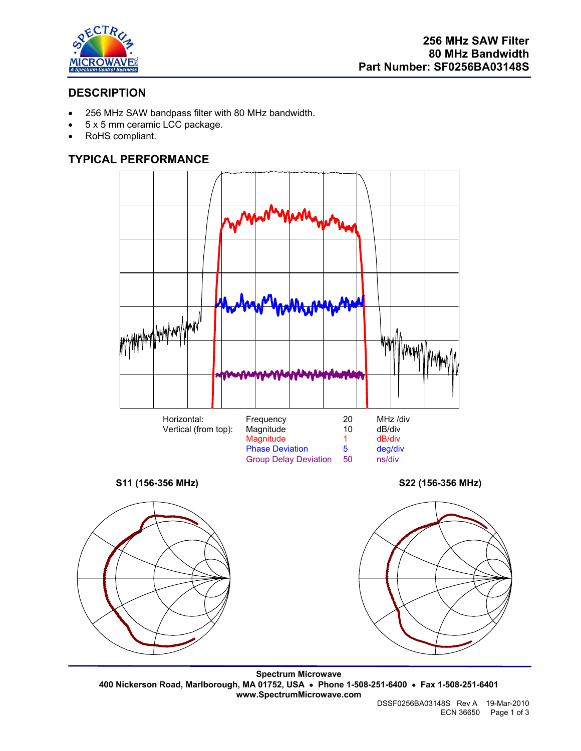

# **DESCRIPTION**

- 256 MHz SAW bandpass filter with 80 MHz bandwidth.
- 5 x 5 mm ceramic LCC package.
- RoHS compliant.

## **TYPICAL PERFORMANCE**



**Spectrum Microwave 400 Nickerson Road, Marlborough, MA 01752, USA** • **Phone 1-508-251-6400** • **Fax 1-508-251-6401 www.SpectrumMicrowave.com**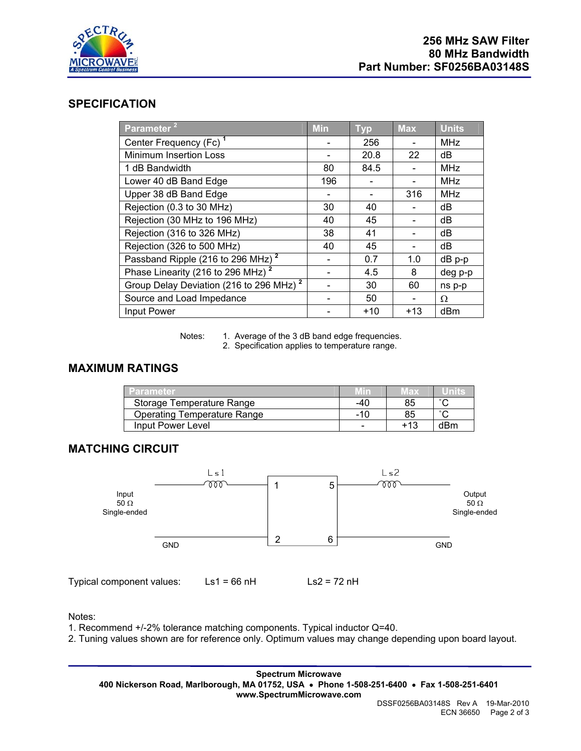

### **SPECIFICATION**

| Parameter <sup>21</sup>                             | <b>Min</b> | <b>Typ</b> | <b>Max</b> | <b>Units</b> |
|-----------------------------------------------------|------------|------------|------------|--------------|
| Center Frequency (Fc) <sup>1</sup>                  |            | 256        |            | <b>MHz</b>   |
| Minimum Insertion Loss                              |            | 20.8       | 22         | dB           |
| 1 dB Bandwidth                                      | 80         | 84.5       |            | <b>MHz</b>   |
| Lower 40 dB Band Edge                               | 196        |            |            | <b>MHz</b>   |
| Upper 38 dB Band Edge                               |            |            | 316        | <b>MHz</b>   |
| Rejection (0.3 to 30 MHz)                           | 30         | 40         |            | dB           |
| Rejection (30 MHz to 196 MHz)                       | 40         | 45         |            | dB           |
| Rejection (316 to 326 MHz)                          | 38         | 41         |            | dB           |
| Rejection (326 to 500 MHz)                          | 40         | 45         |            | dB           |
| Passband Ripple (216 to 296 MHz) <sup>2</sup>       |            | 0.7        | 1.0        | dB p-p       |
| Phase Linearity (216 to 296 MHz) <sup>2</sup>       |            | 4.5        | 8          | deg p-p      |
| Group Delay Deviation (216 to 296 MHz) <sup>2</sup> |            | 30         | 60         | ns p-p       |
| Source and Load Impedance                           |            | 50         |            | Ω            |
| Input Power                                         |            | $+10$      | $+13$      | dBm          |

Notes: 1. Average of the 3 dB band edge frequencies.

2. Specification applies to temperature range.

## **MAXIMUM RATINGS**

| <b>Parameter</b>                   |     | Max | Units  |
|------------------------------------|-----|-----|--------|
| Storage Temperature Range          | -40 | 85  | $\sim$ |
| <b>Operating Temperature Range</b> | -10 |     | $\sim$ |
| Input Power Level                  |     |     | dBm    |

#### **MATCHING CIRCUIT**



Notes:

1. Recommend +/-2% tolerance matching components. Typical inductor Q=40.

2. Tuning values shown are for reference only. Optimum values may change depending upon board layout.

**Spectrum Microwave 400 Nickerson Road, Marlborough, MA 01752, USA** • **Phone 1-508-251-6400** • **Fax 1-508-251-6401 www.SpectrumMicrowave.com**